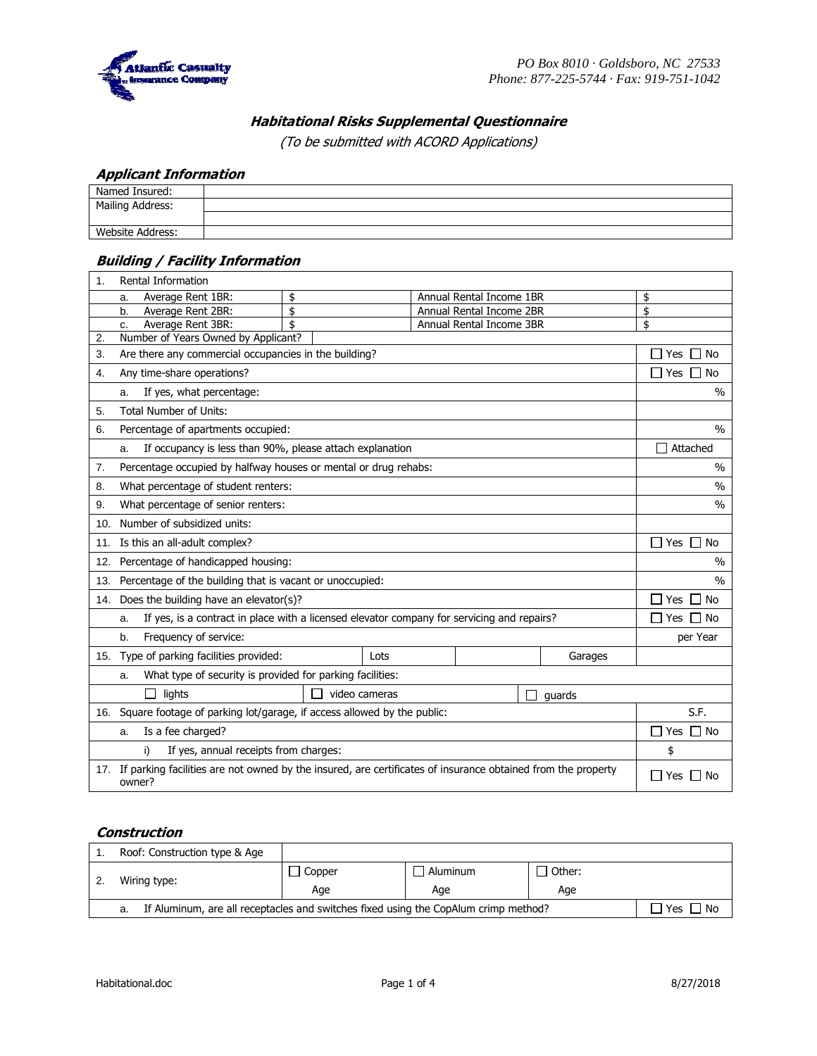

## **Habitational Risks Supplemental Questionnaire**

(To be submitted with ACORD Applications)

### **Applicant Information**

| - -              |  |
|------------------|--|
| Named Insured:   |  |
| Mailing Address: |  |
|                  |  |
| Website Address: |  |

### **Building / Facility Information**

| 1.  | Rental Information                                                                                                         |                      |      |                          |  |                      |                          |  |  |
|-----|----------------------------------------------------------------------------------------------------------------------------|----------------------|------|--------------------------|--|----------------------|--------------------------|--|--|
|     | Average Rent 1BR:<br>a.                                                                                                    | \$                   |      | Annual Rental Income 1BR |  |                      | \$                       |  |  |
|     | Average Rent 2BR:<br>b.                                                                                                    | \$                   |      | Annual Rental Income 2BR |  |                      | \$<br>\$                 |  |  |
|     | Annual Rental Income 3BR<br>Average Rent 3BR:<br>c.                                                                        |                      |      |                          |  |                      |                          |  |  |
| 2.  | Number of Years Owned by Applicant?                                                                                        |                      |      |                          |  |                      |                          |  |  |
| 3.  | Are there any commercial occupancies in the building?                                                                      | $\Box$ Yes $\Box$ No |      |                          |  |                      |                          |  |  |
| 4.  | Any time-share operations?                                                                                                 |                      |      |                          |  |                      | Yes $\Box$<br>No         |  |  |
|     | If yes, what percentage:<br>a.                                                                                             |                      |      |                          |  |                      | $\frac{0}{0}$            |  |  |
| 5.  | <b>Total Number of Units:</b>                                                                                              |                      |      |                          |  |                      |                          |  |  |
| 6.  | Percentage of apartments occupied:                                                                                         |                      |      |                          |  |                      | $\frac{0}{0}$            |  |  |
|     | If occupancy is less than 90%, please attach explanation<br>a.                                                             |                      |      |                          |  |                      | Attached<br>$\mathbf{I}$ |  |  |
| 7.  | Percentage occupied by halfway houses or mental or drug rehabs:                                                            |                      |      |                          |  |                      | $\frac{0}{0}$            |  |  |
| 8.  | What percentage of student renters:                                                                                        |                      |      |                          |  |                      | $\frac{0}{0}$            |  |  |
| 9.  | What percentage of senior renters:                                                                                         |                      |      |                          |  |                      | $\%$                     |  |  |
| 10. | Number of subsidized units:                                                                                                |                      |      |                          |  |                      |                          |  |  |
| 11. | Is this an all-adult complex?                                                                                              |                      |      |                          |  | $\Box$ Yes $\Box$ No |                          |  |  |
| 12. | Percentage of handicapped housing:                                                                                         |                      |      |                          |  | $\frac{0}{0}$        |                          |  |  |
| 13. | Percentage of the building that is vacant or unoccupied:                                                                   |                      |      |                          |  | $\%$                 |                          |  |  |
|     | 14. Does the building have an elevator(s)?                                                                                 |                      |      |                          |  | Yes<br>∩ No          |                          |  |  |
|     | If yes, is a contract in place with a licensed elevator company for servicing and repairs?<br>a.                           |                      |      |                          |  |                      | No<br>Yes<br>$\bigcup$   |  |  |
|     | Frequency of service:<br>b.                                                                                                |                      |      |                          |  |                      | per Year                 |  |  |
|     | 15. Type of parking facilities provided:                                                                                   |                      | Lots |                          |  | Garages              |                          |  |  |
|     | What type of security is provided for parking facilities:<br>a.                                                            |                      |      |                          |  |                      |                          |  |  |
|     | lights<br>video cameras<br>guards                                                                                          |                      |      |                          |  |                      |                          |  |  |
|     | 16. Square footage of parking lot/garage, if access allowed by the public:                                                 |                      |      |                          |  | S.F.                 |                          |  |  |
|     | Is a fee charged?<br>a.                                                                                                    |                      |      |                          |  |                      | Yes $\Box$ No            |  |  |
|     | If yes, annual receipts from charges:<br>i)                                                                                |                      |      |                          |  |                      | \$                       |  |  |
|     | 17. If parking facilities are not owned by the insured, are certificates of insurance obtained from the property<br>owner? |                      |      |                          |  |                      | $\Box$ Yes $\Box$ No     |  |  |

### **Construction**

| Roof: Construction type & Age                                                             |        |          |                 |  |  |
|-------------------------------------------------------------------------------------------|--------|----------|-----------------|--|--|
|                                                                                           | Copper | Aluminum | $\sqcap$ Other: |  |  |
| Wiring type:                                                                              | Age    | Aqe      | Age             |  |  |
| If Aluminum, are all receptacles and switches fixed using the CopAlum crimp method?<br>а. |        |          |                 |  |  |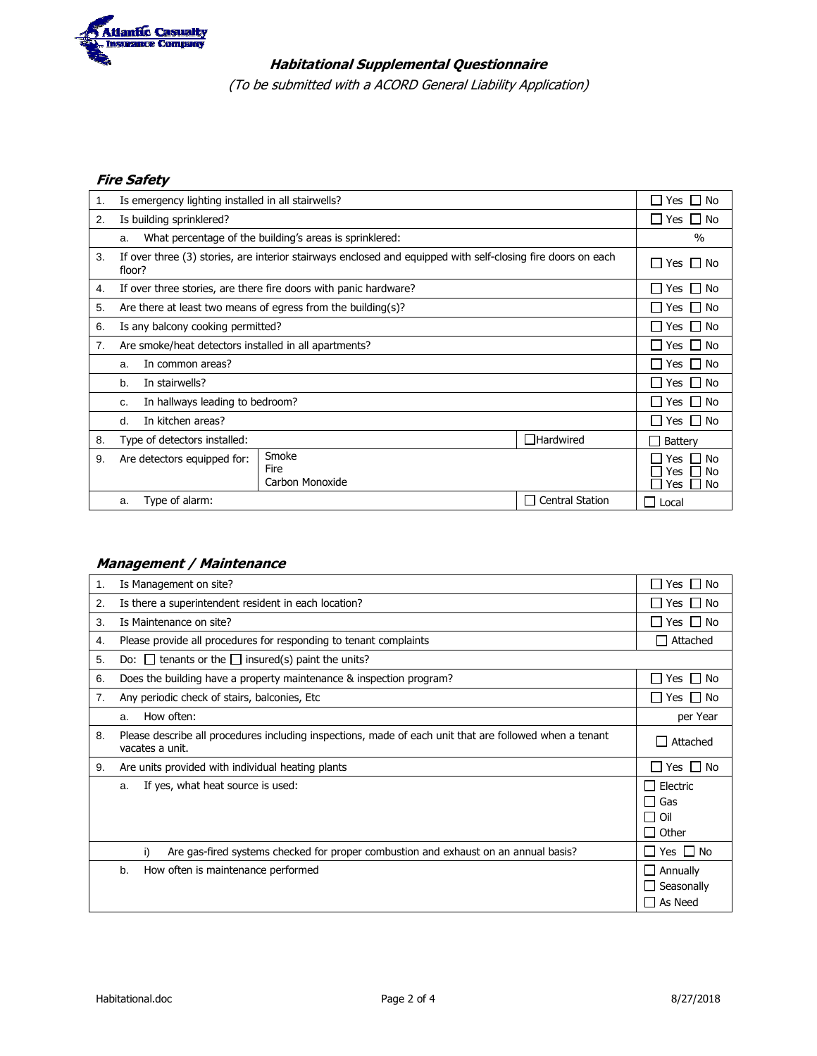

# **Habitational Supplemental Questionnaire**

(To be submitted with a ACORD General Liability Application)

## **Fire Safety**

| 1. | Is emergency lighting installed in all stairwells?              |                                                                                                              |                        |                                          |  |  |
|----|-----------------------------------------------------------------|--------------------------------------------------------------------------------------------------------------|------------------------|------------------------------------------|--|--|
| 2. | Is building sprinklered?                                        |                                                                                                              |                        |                                          |  |  |
|    | a.                                                              | What percentage of the building's areas is sprinklered:                                                      |                        | $\frac{0}{0}$                            |  |  |
| 3. | floor?                                                          | If over three (3) stories, are interior stairways enclosed and equipped with self-closing fire doors on each |                        | Yes<br>l IN <sub>O</sub><br>$\mathsf{L}$ |  |  |
| 4. |                                                                 | If over three stories, are there fire doors with panic hardware?                                             |                        | ∣No<br>Yes                               |  |  |
| 5. |                                                                 | Are there at least two means of egress from the building(s)?                                                 |                        | Yes $\Box$ No                            |  |  |
| 6. | Is any balcony cooking permitted?                               |                                                                                                              |                        | Yes $\Box$ No                            |  |  |
| 7. | Are smoke/heat detectors installed in all apartments?           |                                                                                                              |                        |                                          |  |  |
|    | In common areas?<br>a.                                          |                                                                                                              |                        |                                          |  |  |
|    | In stairwells?<br>b.                                            |                                                                                                              |                        |                                          |  |  |
|    | In hallways leading to bedroom?<br>c.                           |                                                                                                              |                        |                                          |  |  |
|    | In kitchen areas?<br>d.                                         |                                                                                                              |                        | Yes I No                                 |  |  |
| 8. | $\Box$ Hardwired<br>Type of detectors installed:                |                                                                                                              |                        |                                          |  |  |
| 9. | Smoke<br>Are detectors equipped for:<br>Fire<br>Carbon Monoxide |                                                                                                              |                        |                                          |  |  |
|    | Type of alarm:<br>a.                                            |                                                                                                              | <b>Central Station</b> | Local                                    |  |  |

## **Management / Maintenance**

| 1. | Is Management on site?                                                                                                     | Yes<br>⊟ No                                                 |  |  |  |
|----|----------------------------------------------------------------------------------------------------------------------------|-------------------------------------------------------------|--|--|--|
| 2. | Is there a superintendent resident in each location?                                                                       | Yes I I No                                                  |  |  |  |
| 3. | Is Maintenance on site?                                                                                                    | Yes $\Box$ No                                               |  |  |  |
| 4. | Please provide all procedures for responding to tenant complaints                                                          | Attached<br>$\blacksquare$                                  |  |  |  |
| 5. | Do: $\Box$ tenants or the $\Box$ insured(s) paint the units?                                                               |                                                             |  |  |  |
| 6. | Does the building have a property maintenance & inspection program?                                                        | Yes $\Box$ No                                               |  |  |  |
| 7. | Any periodic check of stairs, balconies, Etc.                                                                              | Yes $\Box$ No                                               |  |  |  |
|    | How often:<br>a.                                                                                                           | per Year                                                    |  |  |  |
| 8. | Please describe all procedures including inspections, made of each unit that are followed when a tenant<br>vacates a unit. |                                                             |  |  |  |
| 9. | Are units provided with individual heating plants                                                                          |                                                             |  |  |  |
|    | If yes, what heat source is used:<br>a.                                                                                    | $\Box$ Electric<br>$\Box$ Gas<br>$\Box$ Oil<br>$\Box$ Other |  |  |  |
|    | Are gas-fired systems checked for proper combustion and exhaust on an annual basis?<br>i)                                  |                                                             |  |  |  |
|    | How often is maintenance performed<br>b.                                                                                   | $\Box$ Annually<br>$\Box$ Seasonally<br>$\Box$ As Need      |  |  |  |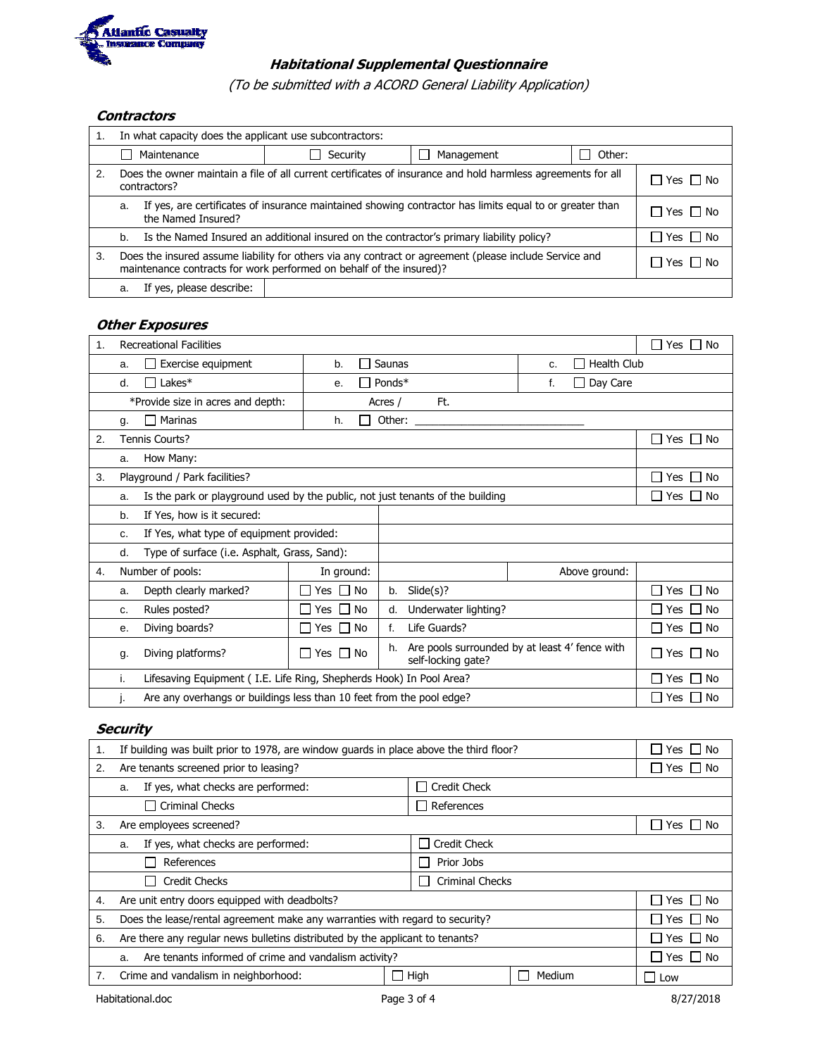

# **Habitational Supplemental Questionnaire**

(To be submitted with a ACORD General Liability Application)

#### **Contractors**

| 1. | In what capacity does the applicant use subcontractors:                                                                                                                                         |  |  |  |  |  |  |
|----|-------------------------------------------------------------------------------------------------------------------------------------------------------------------------------------------------|--|--|--|--|--|--|
|    | Security<br>Other:<br>Maintenance<br>Management<br>ΙI<br>$\perp$                                                                                                                                |  |  |  |  |  |  |
| 2. | Does the owner maintain a file of all current certificates of insurance and hold harmless agreements for all<br>$\Box$ Yes $\Box$ No<br>contractors?                                            |  |  |  |  |  |  |
|    | If yes, are certificates of insurance maintained showing contractor has limits equal to or greater than<br>a.<br>$\Box$ Yes $\Box$ No<br>the Named Insured?                                     |  |  |  |  |  |  |
|    | $\Box$ Yes $\Box$ No<br>Is the Named Insured an additional insured on the contractor's primary liability policy?<br>b.                                                                          |  |  |  |  |  |  |
| 3. | Does the insured assume liability for others via any contract or agreement (please include Service and<br>l I Yes I I No<br>maintenance contracts for work performed on behalf of the insured)? |  |  |  |  |  |  |
|    | If yes, please describe:<br>a.                                                                                                                                                                  |  |  |  |  |  |  |

### **Other Exposures**

| 1. |    | <b>Recreational Facilities</b>                                                 |                                          |                                                                            |                      |                      |                               |
|----|----|--------------------------------------------------------------------------------|------------------------------------------|----------------------------------------------------------------------------|----------------------|----------------------|-------------------------------|
|    | a. | $\Box$ Exercise equipment                                                      | <b>Health Club</b><br>Saunas<br>b.<br>c. |                                                                            |                      |                      |                               |
|    | d. | $\Box$ Lakes*                                                                  | е.                                       | Ponds*                                                                     |                      | Day Care<br>f.       |                               |
|    |    | *Provide size in acres and depth:                                              |                                          | Acres /                                                                    | Ft.                  |                      |                               |
|    | g. | $\Box$ Marinas<br>Other:<br>h.                                                 |                                          |                                                                            |                      |                      |                               |
| 2. |    | Tennis Courts?                                                                 |                                          |                                                                            |                      |                      | $\Box$ No<br>П<br>Yes         |
|    | a. | How Many:                                                                      |                                          |                                                                            |                      |                      |                               |
| 3. |    | Playground / Park facilities?                                                  |                                          |                                                                            |                      |                      | No<br>Yes<br><b>1 I</b>       |
|    | a. | Is the park or playground used by the public, not just tenants of the building |                                          |                                                                            |                      | $\Box$ Yes $\Box$ No |                               |
|    | b. | If Yes, how is it secured:                                                     |                                          |                                                                            |                      |                      |                               |
|    | C. | If Yes, what type of equipment provided:                                       |                                          |                                                                            |                      |                      |                               |
|    | d. | Type of surface (i.e. Asphalt, Grass, Sand):                                   |                                          |                                                                            |                      |                      |                               |
| 4. |    | Number of pools:                                                               | In ground:                               |                                                                            |                      | Above ground:        |                               |
|    | a. | Depth clearly marked?                                                          | Yes $\Box$ No<br>LΙ                      | b.                                                                         | $S$ lide $(s)$ ?     |                      | Yes $\Box$ No<br>$\mathsf{L}$ |
|    | c. | Rules posted?                                                                  | $\square$ Yes $\square$ No               | d.                                                                         | Underwater lighting? |                      | $\square$ Yes $\square$ No    |
|    | е. | Diving boards?                                                                 | $\square$ Yes $\square$ No               | Life Guards?<br>f.                                                         |                      |                      | $\Box$ Yes $\Box$ No          |
|    | g. | Diving platforms?                                                              | Yes $\Box$ No<br>H                       | Are pools surrounded by at least 4' fence with<br>h.<br>self-locking gate? |                      |                      | Yes $\Box$ No<br>$\perp$      |
|    | i. | Lifesaving Equipment (I.E. Life Ring, Shepherds Hook) In Pool Area?            |                                          |                                                                            |                      |                      | No<br>Yes                     |
|    | J. | Are any overhangs or buildings less than 10 feet from the pool edge?           | No<br>Yes<br>$\perp$                     |                                                                            |                      |                      |                               |

# **Security**

|    | If building was built prior to 1978, are window guards in place above the third floor? |            |        |                 |  |
|----|----------------------------------------------------------------------------------------|------------|--------|-----------------|--|
| 2. | Are tenants screened prior to leasing?                                                 |            |        |                 |  |
|    | If yes, what checks are performed:<br>a.                                               |            |        |                 |  |
|    | $\Box$ Criminal Checks                                                                 | References |        |                 |  |
| 3. | Are employees screened?                                                                |            |        | Yes.<br>No      |  |
|    | If yes, what checks are performed:<br><b>Credit Check</b><br>a.                        |            |        |                 |  |
|    | References<br>Prior Jobs                                                               |            |        |                 |  |
|    | <b>Credit Checks</b><br><b>Criminal Checks</b>                                         |            |        |                 |  |
| 4. | Are unit entry doors equipped with deadbolts?                                          |            |        | Yes I<br>∣ I No |  |
| 5. | Does the lease/rental agreement make any warranties with regard to security?           |            |        | No<br>Yes       |  |
| 6. | Are there any regular news bulletins distributed by the applicant to tenants?          |            |        |                 |  |
|    | Are tenants informed of crime and vandalism activity?<br>a.                            |            |        |                 |  |
| 7. | Crime and vandalism in neighborhood:                                                   | High       | Medium | <b>FI Low</b>   |  |